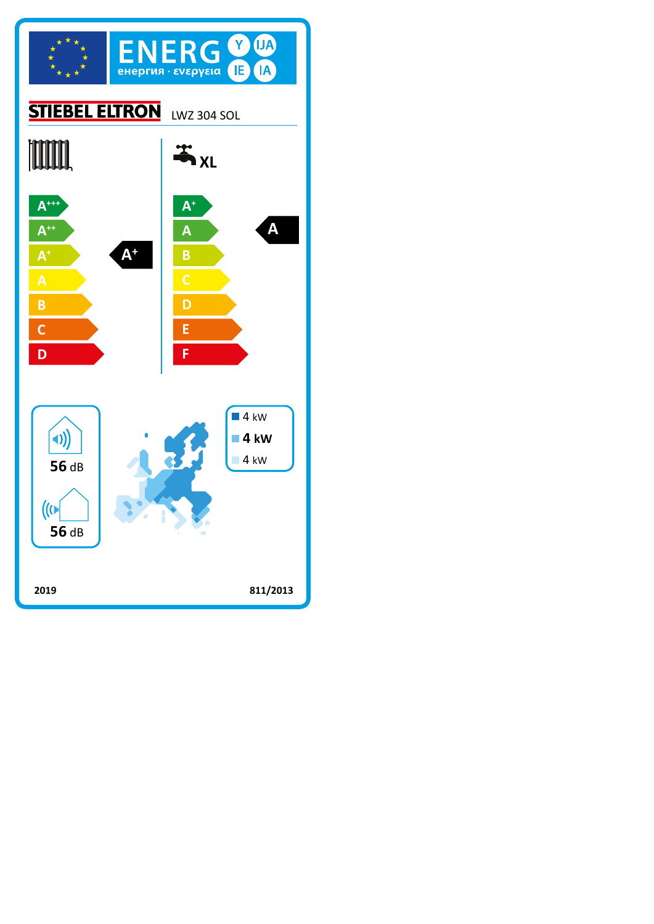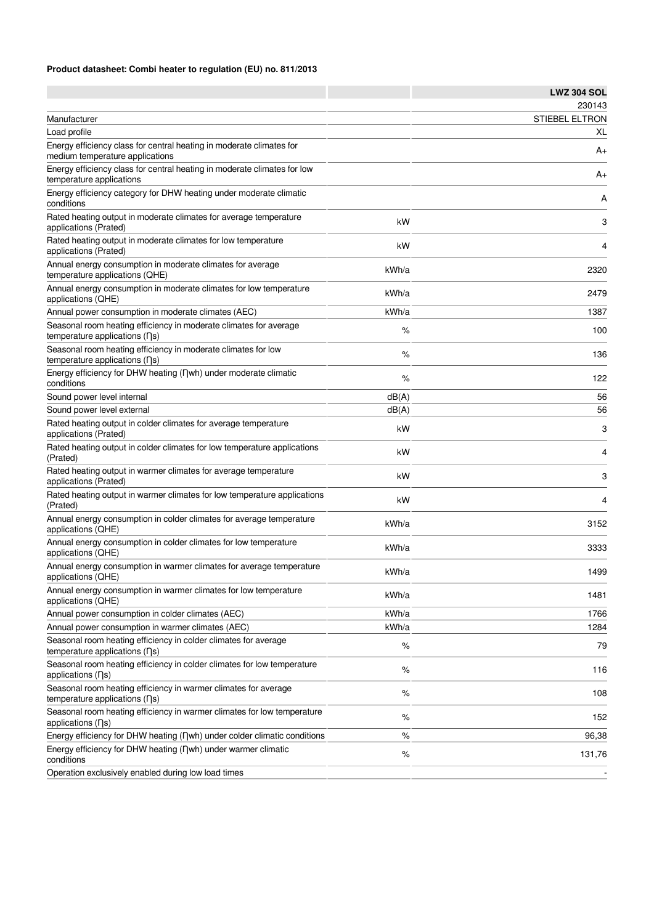## **Product datasheet: Combi heater to regulation (EU) no. 811/2013**

|                                                                                                                     |       | <b>LWZ 304 SOL</b>    |
|---------------------------------------------------------------------------------------------------------------------|-------|-----------------------|
|                                                                                                                     |       | 230143                |
| Manufacturer                                                                                                        |       | <b>STIEBEL ELTRON</b> |
| Load profile                                                                                                        |       | XL                    |
| Energy efficiency class for central heating in moderate climates for<br>medium temperature applications             |       | A+                    |
| Energy efficiency class for central heating in moderate climates for low<br>temperature applications                |       | A+                    |
| Energy efficiency category for DHW heating under moderate climatic<br>conditions                                    |       | Α                     |
| Rated heating output in moderate climates for average temperature<br>applications (Prated)                          | kW    | 3                     |
| Rated heating output in moderate climates for low temperature<br>applications (Prated)                              | kW    | 4                     |
| Annual energy consumption in moderate climates for average<br>temperature applications (QHE)                        | kWh/a | 2320                  |
| Annual energy consumption in moderate climates for low temperature<br>applications (QHE)                            | kWh/a | 2479                  |
| Annual power consumption in moderate climates (AEC)                                                                 | kWh/a | 1387                  |
| Seasonal room heating efficiency in moderate climates for average<br>temperature applications (ns)                  | %     | 100                   |
| Seasonal room heating efficiency in moderate climates for low<br>temperature applications (ns)                      | %     | 136                   |
| Energy efficiency for DHW heating (Dwh) under moderate climatic<br>conditions                                       | %     | 122                   |
| Sound power level internal                                                                                          | dB(A) | 56                    |
| Sound power level external                                                                                          | dB(A) | 56                    |
| Rated heating output in colder climates for average temperature<br>applications (Prated)                            | kW    | 3                     |
| Rated heating output in colder climates for low temperature applications<br>(Prated)                                | kW    | 4                     |
| Rated heating output in warmer climates for average temperature<br>applications (Prated)                            | kW    | 3                     |
| Rated heating output in warmer climates for low temperature applications<br>(Prated)                                | kW    | 4                     |
| Annual energy consumption in colder climates for average temperature<br>applications (QHE)                          | kWh/a | 3152                  |
| Annual energy consumption in colder climates for low temperature<br>applications (QHE)                              | kWh/a | 3333                  |
| Annual energy consumption in warmer climates for average temperature<br>applications (QHE)                          | kWh/a | 1499                  |
| Annual energy consumption in warmer climates for low temperature<br>applications (QHE)                              | kWh/a | 1481                  |
| Annual power consumption in colder climates (AEC)                                                                   | kWh/a | 1766                  |
| Annual power consumption in warmer climates (AEC)                                                                   | kWh/a | 1284                  |
| Seasonal room heating efficiency in colder climates for average<br>temperature applications $( \nabla \mathbf{s} )$ | %     | 79                    |
| Seasonal room heating efficiency in colder climates for low temperature<br>applications $( \nabla s)$               | $\%$  | 116                   |
| Seasonal room heating efficiency in warmer climates for average<br>temperature applications $( \nabla \mathbf{s} )$ | %     | 108                   |
| Seasonal room heating efficiency in warmer climates for low temperature<br>applications (ns)                        | $\%$  | 152                   |
| Energy efficiency for DHW heating (nwh) under colder climatic conditions                                            | %     | 96,38                 |
| Energy efficiency for DHW heating (Dwh) under warmer climatic<br>conditions                                         | %     | 131,76                |
| Operation exclusively enabled during low load times                                                                 |       |                       |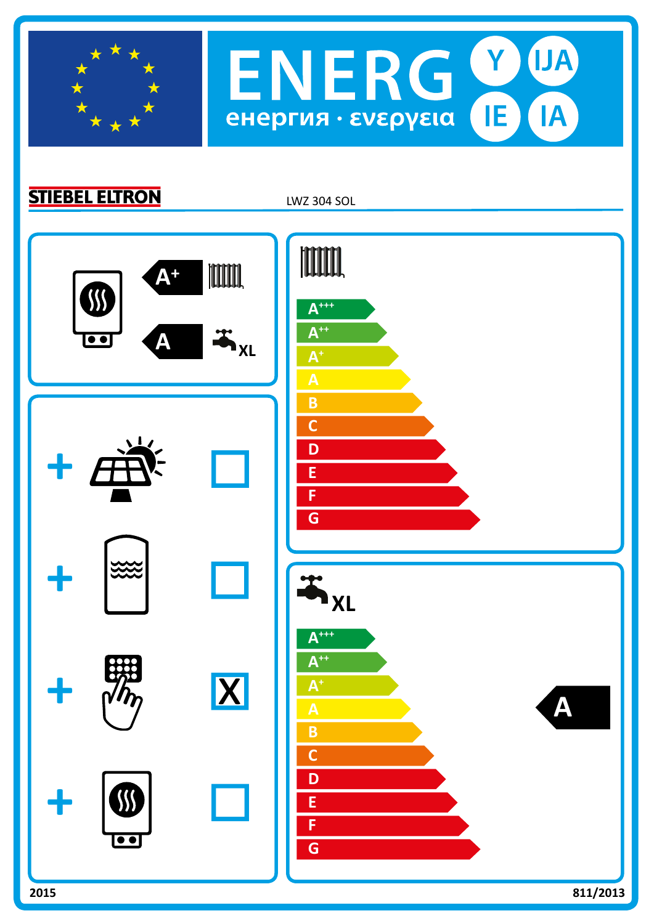

**STIEBEL ELTRON** 

LWZ 304 SOL

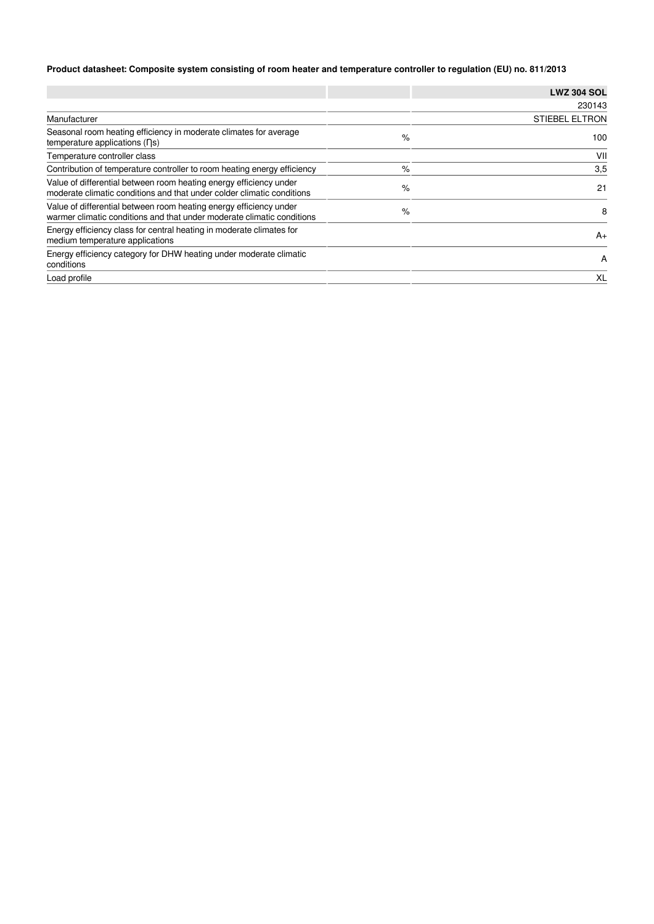## **Product datasheet: Composite system consisting of room heater and temperature controller to regulation (EU) no. 811/2013**

|                                                                                                                                              |      | <b>LWZ 304 SOL</b>    |
|----------------------------------------------------------------------------------------------------------------------------------------------|------|-----------------------|
|                                                                                                                                              |      | 230143                |
| Manufacturer                                                                                                                                 |      | <b>STIEBEL ELTRON</b> |
| Seasonal room heating efficiency in moderate climates for average<br>temperature applications $( \nabla s)$                                  | %    | 100                   |
| Temperature controller class                                                                                                                 |      | VII                   |
| Contribution of temperature controller to room heating energy efficiency                                                                     | %    | 3,5                   |
| Value of differential between room heating energy efficiency under<br>moderate climatic conditions and that under colder climatic conditions | $\%$ | 21                    |
| Value of differential between room heating energy efficiency under<br>warmer climatic conditions and that under moderate climatic conditions | %    | 8                     |
| Energy efficiency class for central heating in moderate climates for<br>medium temperature applications                                      |      | $A+$                  |
| Energy efficiency category for DHW heating under moderate climatic<br>conditions                                                             |      | A                     |
| Load profile                                                                                                                                 |      | XL                    |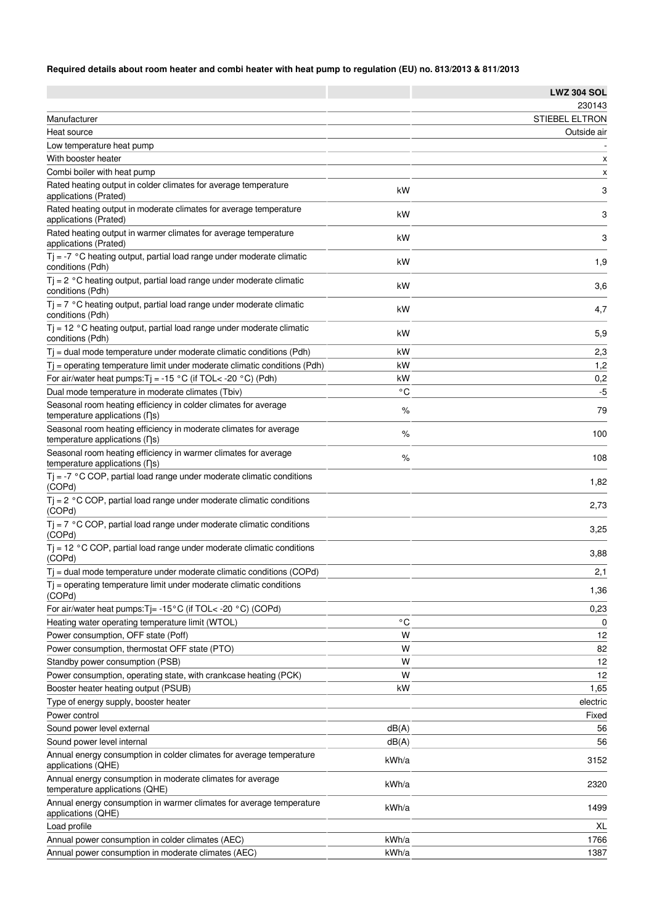## **Required details about room heater and combi heater with heat pump to regulation (EU) no. 813/2013 & 811/2013**

|                                                                                                    |              | <b>LWZ 304 SOL</b> |
|----------------------------------------------------------------------------------------------------|--------------|--------------------|
|                                                                                                    |              | 230143             |
| Manufacturer                                                                                       |              | STIEBEL ELTRON     |
| Heat source                                                                                        |              | Outside air        |
| Low temperature heat pump                                                                          |              |                    |
| With booster heater                                                                                |              | x                  |
| Combi boiler with heat pump                                                                        |              | X                  |
| Rated heating output in colder climates for average temperature<br>applications (Prated)           | kW           | 3                  |
| Rated heating output in moderate climates for average temperature<br>applications (Prated)         | kW           | 3                  |
| Rated heating output in warmer climates for average temperature<br>applications (Prated)           | kW           | 3                  |
| $Tj = -7$ °C heating output, partial load range under moderate climatic<br>conditions (Pdh)        | kW           | 1,9                |
| $Tj = 2 °C$ heating output, partial load range under moderate climatic<br>conditions (Pdh)         | kW           | 3,6                |
| $Tj = 7$ °C heating output, partial load range under moderate climatic<br>conditions (Pdh)         | kW           | 4,7                |
| $Tj = 12 °C$ heating output, partial load range under moderate climatic<br>conditions (Pdh)        | kW           | 5,9                |
| $T$ = dual mode temperature under moderate climatic conditions (Pdh)                               | kW           | 2,3                |
| $Ti =$ operating temperature limit under moderate climatic conditions (Pdh)                        | kW           | 1,2                |
| For air/water heat pumps: $Tj = -15 °C$ (if TOL< -20 °C) (Pdh)                                     | kW           | 0,2                |
| Dual mode temperature in moderate climates (Tbiv)                                                  | $^{\circ}$ C | $-5$               |
| Seasonal room heating efficiency in colder climates for average                                    |              |                    |
| temperature applications (ns)<br>Seasonal room heating efficiency in moderate climates for average | %            | 79                 |
| temperature applications (ns)<br>Seasonal room heating efficiency in warmer climates for average   | %            | 100                |
| temperature applications (ns)                                                                      | %            | 108                |
| $Tj = -7$ °C COP, partial load range under moderate climatic conditions<br>(COPd)                  |              | 1,82               |
| $Tj = 2 °C COP$ , partial load range under moderate climatic conditions<br>(COPd)                  |              | 2,73               |
| $Tj = 7$ °C COP, partial load range under moderate climatic conditions<br>(COPd)                   |              | 3,25               |
| $Tj = 12 °C$ COP, partial load range under moderate climatic conditions<br>(COPd)                  |              | 3,88               |
| $T_i$ = dual mode temperature under moderate climatic conditions (COPd)                            |              | 2,1                |
| $T$ = operating temperature limit under moderate climatic conditions<br>(COPd)                     |              | 1,36               |
| For air/water heat pumps: $Tj = -15^{\circ}C$ (if TOL< -20 °C) (COPd)                              |              | 0,23               |
| Heating water operating temperature limit (WTOL)                                                   | $^{\circ}$ C | 0                  |
| Power consumption, OFF state (Poff)                                                                | W            | 12                 |
| Power consumption, thermostat OFF state (PTO)                                                      | W            | 82                 |
| Standby power consumption (PSB)                                                                    | W            | 12                 |
| Power consumption, operating state, with crankcase heating (PCK)                                   | W            | 12                 |
| Booster heater heating output (PSUB)                                                               | kW           | 1,65               |
| Type of energy supply, booster heater                                                              |              | electric           |
| Power control                                                                                      |              | Fixed              |
| Sound power level external                                                                         | dB(A)        | 56                 |
| Sound power level internal                                                                         | dB(A)        | 56                 |
| Annual energy consumption in colder climates for average temperature<br>applications (QHE)         | kWh/a        | 3152               |
| Annual energy consumption in moderate climates for average<br>temperature applications (QHE)       | kWh/a        | 2320               |
| Annual energy consumption in warmer climates for average temperature<br>applications (QHE)         | kWh/a        | 1499               |
| Load profile                                                                                       |              | XL                 |
| Annual power consumption in colder climates (AEC)                                                  | kWh/a        | 1766               |
| Annual power consumption in moderate climates (AEC)                                                | kWh/a        | 1387               |